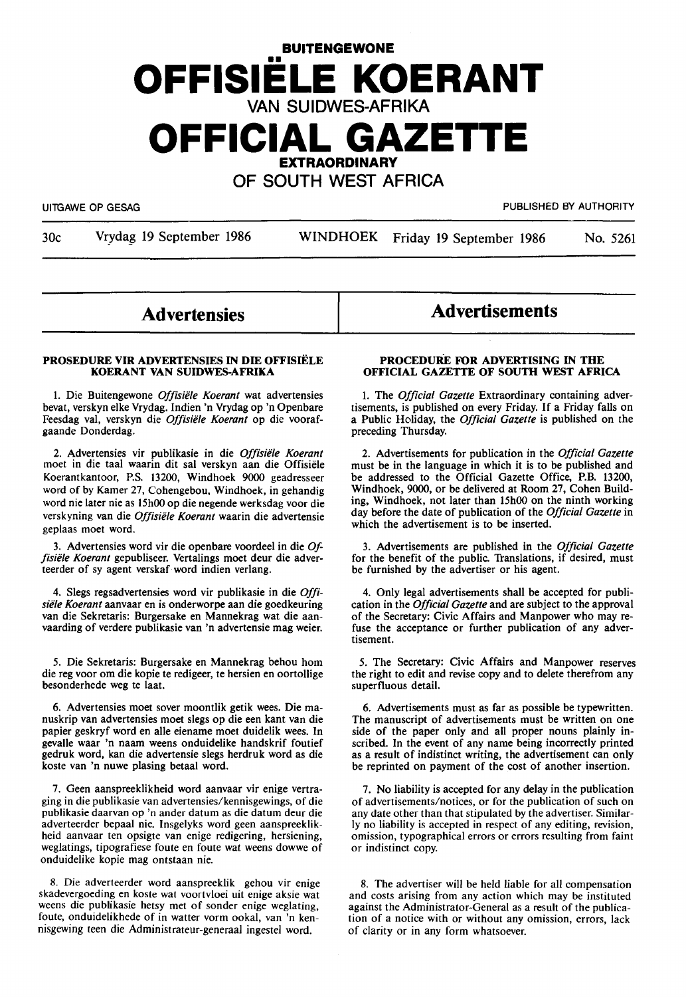# **BUITENGEWONE**  •• **OFFISIELE KOERANT**  VAN SUIDWES-AFRIKA **OFFICIAL GAZETTE EXTRAORDINARY**  OF SOUTH WEST AFRICA

UITGAWE OP GESAG PUBLISHED BY AUTHORITY

30c Vrydag 19 September 1986 WINDHOEK Friday 19 September 1986 No. 5261

## **Advertensies**

#### **PROSEDURE VIR ADVERTENSIES IN DIE OFFISIELE KOERANT VAN SUIDWES-AFRIKA**

1. Die Buitengewone *Offisiele Koerant* wat advertensies bevat, verskyn elke Vrydag. Indien 'n Vrydag op 'n Openbare Feesdag val, verskyn die *Offisiele Koerant* op die voorafgaande Donderdag.

2. Advertensies vir publikasie in die *Offisiele Koerant*  moet in die taal waarin dit sal verskyn aan die Offisiele Koerantkantoor, P.S. 13200, Windhoek 9000 geadresseer word of by Kamer 27, Cohengebou, Windhoek, in gehandig word nie later nie as 15h00 op die negende werksdag voor die verskyning van die *Offisiele Koerant* waarin die advertensie geplaas moet word.

3. Advertensies word vir die openbare voordeel in die *Offisiele Koerant* gepubliseer. Vertalings moet deur die adverteerder of sy agent verskaf word indien verlang.

4. Slegs regsadvertensies word vir publikasie in die *Offisiele Koerant* aanvaar en is onderworpe aan die goedkeuring van die Sekretaris: Burgersake en Mannekrag wat die aanvaarding of verdere publikasie van 'n advertensie mag weier.

5. Die Sekretaris: Burgersake en Mannekrag behou horn die reg voor om die kopie te redigeer, te hersien en oortollige besonderhede weg te laat.

6. Advertensies moet sover moontlik getik wees. Die manuskrip van advertensies moet slegs op die een kant van die papier geskryf word en alle eiename moet duidelik wees. In gevalle waar 'n naam weens onduidelike handskrif foutief gedruk word, kan die advertensie slegs herdruk word as die koste van 'n nuwe plasing betaal word.

7. Geen aanspreeklikheid word aanvaar vir enige vertraging in die publikasie van advertensies/kennisgewings, of die publikasie daarvan op 'n ander datum as die datum deur die adverteerder bepaal nie. Insgelyks word geen aanspreeklikheid aanvaar ten opsigte van enige redigering, hersiening, weglatings, tipografiese foute en foute wat weens dowwe of onduidelike kopie mag ontstaan nie.

8. Die adverteerder word aanspreeklik gehou vir enige skadevergoeding en koste wat voortvloei uit enige aksie wat weens die publikasie hetsy met of sonder enige weglating, foute, onduidelikhede of in watter vorm ookal, van 'n kennisgewing teen die Administrateur-generaal ingestel word.

**Advertisements** 

#### **PROCEDURE FOR ADVERTISING IN THE OFFICIAL GAZETTE OF SOUTH WEST AFRICA**

1. The *Official Gazette* Extraordinary containing advertisements, is published on every Friday. If a Friday falls on a Public Holiday, the *Official Gazette* is published on the preceding Thursday.

2. Advertisements for publication in the *Official Gazette*  must be in the language in which it is to be published and be addressed to the Official Gazette Office, P.B. 13200, Windhoek, 9000, or be delivered at Room 27, Cohen Building, Windhoek, not later than 15h00 on the ninth working day before the date of publication of the *Official Gazette* in which the advertisement is to be inserted.

3. Advertisements are published in the *Official Gazette*  for the benefit of the public. Translations, if desired, must be furnished by the advertiser or his agent.

4. Only legal advertisements shall be accepted for publication in the *Official Gazette* and are subject to the approval of the Secretary: Civic Affairs and Manpower who may refuse the acceptance or further publication of any advertisement.

5. The Secretary: Civic Affairs and Manpower reserves the right to edit and revise copy and to delete therefrom any superfluous detail.

6. Advertisements must as far as possible be typewritten. The manuscript of advertisements must be written on one side of the paper only and all proper nouns plainly inscribed. In the event of any name being incorrectly printed as a result of indistinct writing, the advertisement can only be reprinted on payment of the cost of another insertion.

7. No liability is accepted for any delay in the publication of advertisements/notices, or for the publication of such on any date other than that stipulated by the advertiser. Similarly no liability is accepted in respect of any editing, revision, omission, typographical errors or errors resulting from faint or indistinct copy.

8. The advertiser will be held liable for all compensation and costs arising from any action which may be instituted against the Administrator-General as a result of the publication of a notice with or without any omission, errors, lack of clarity or in any form whatsoever.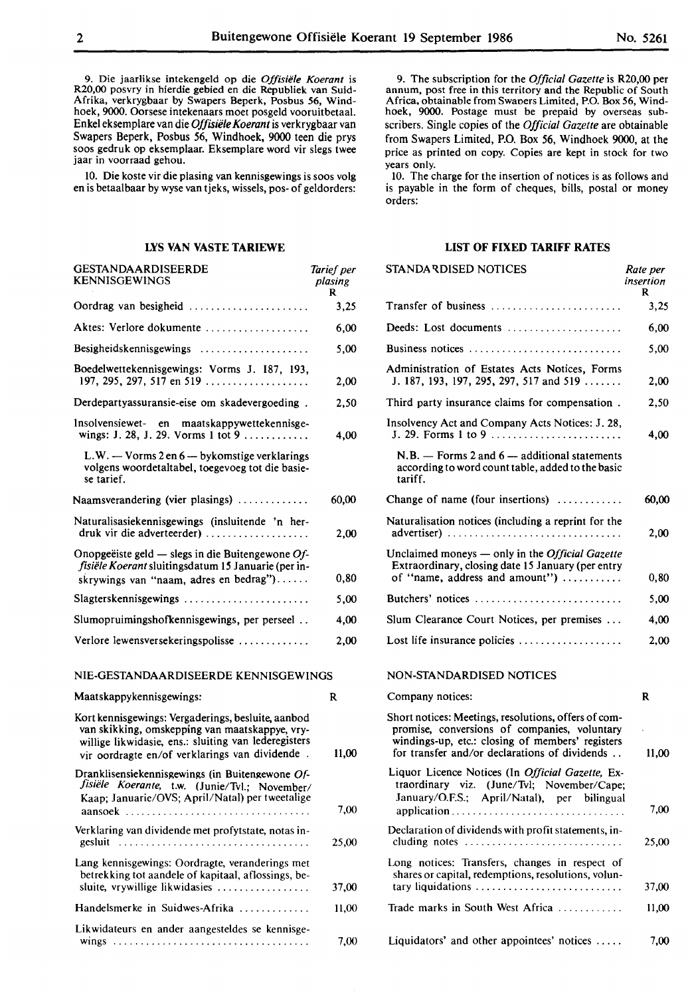9. Die jaarlikse intekengeld op die *Offisiele Koerant* is R20,00 posvry in hierdie gebied en die Republiek van Suid-Afrika, verkrygbaar by Swapers Beperk, Posbus 56, Windhoek, 9000. Oorsese intekenaars moet posgeld vooruitbetaal. Enkel eksemplare van die *Offisiele Koerant* is verkrygbaar van Swapers Beperk, Posbus 56, Windhoek, 9000 teen die prys soos gedruk op eksemplaar. Eksemplare word vir slegs twee jaar in voorraad gehou.

10. Die koste vir die plasing van kennisgewings is soos volg en is betaalbaar by wyse van tjeks, wissels, pos- of geldorders:

#### **LYS VAN VASTE TARIEWE**

| GESTANDAARDISEERDE<br><b>KENNISGEWINGS</b>                                                                                                                                                                     | Tarief per<br>plasing<br>R |
|----------------------------------------------------------------------------------------------------------------------------------------------------------------------------------------------------------------|----------------------------|
| Oordrag van besigheid                                                                                                                                                                                          | 3,25                       |
| Aktes: Verlore dokumente                                                                                                                                                                                       | 6,00                       |
|                                                                                                                                                                                                                | 5,00                       |
| Boedelwettekennisgewings: Vorms J. 187, 193,<br>197, 295, 297, 517 en 519                                                                                                                                      | 2,00                       |
| Derdepartyassuransie-eise om skadevergoeding.                                                                                                                                                                  | 2,50                       |
| Insolvensiewet- en maatskappywettekennisge-<br>wings: J. 28, J. 29. Vorms 1 tot 9                                                                                                                              | 4,00                       |
| L.W. - Vorms 2 en 6 - bykomstige verklarings<br>volgens woordetaltabel, toegevoeg tot die basie-<br>se tarief.                                                                                                 |                            |
| Naamsverandering (vier plasings)                                                                                                                                                                               | 60,00                      |
| Naturalisasiekennisgewings (insluitende 'n her-<br>druk vir die adverteerder)                                                                                                                                  | 2,00                       |
| Onopgeëiste geld — slegs in die Buitengewone Of-<br>fisiële Koerant sluitingsdatum 15 Januarie (per in-<br>skrywings van "naam, adres en bedrag")                                                              | 0,80                       |
| Slagterskennisgewings                                                                                                                                                                                          | 5,00                       |
| Slumopruimingshofkennisgewings, per perseel                                                                                                                                                                    | 4,00                       |
| Verlore lewensversekeringspolisse                                                                                                                                                                              | 2,00                       |
| NIE-GESTANDAARDISEERDE KENNISGEWINGS                                                                                                                                                                           |                            |
| Maatskappykennisgewings:                                                                                                                                                                                       | R                          |
| Kort kennisgewings: Vergaderings, besluite, aanbod<br>van skikking, omskepping van maatskappye, vry-<br>willige likwidasie, ens.: sluiting van lederegisters<br>vir oordragte en/of verklarings van dividende. | 11.00                      |
| Dranklisensiekennisgewings (in Buitengewone Of-<br>fisiële Koerante, t.w. (Junie/Tvl.; November/<br>Kaap; Januarie/OVS; April/Natal) per tweetalige<br>aansoek                                                 | 7,00                       |
| Verklaring van dividende met profytstate, notas in-<br>gesluit                                                                                                                                                 | 25,00                      |
| Lang kennisgewings: Oordragte, veranderings met<br>betrekking tot aandele of kapitaal, aflossings, be-<br>sluite, vrywillige likwidasies                                                                       | 37,00                      |
| Handelsmerke in Suidwes-Afrika                                                                                                                                                                                 | 11,00                      |
| Likwidateurs en ander aangesteldes se kennisge-                                                                                                                                                                |                            |

wings . . . . . . . . . . . . . . . . . . . . . . . . . . . . . . . . . . . . 7,00

9. The subscription for the *Official Gazette* is R20,00 per annum, post free in this territory and the Republic of South Africa, obtainable from Swaoers Limited, P.O. Box 56, Windhoek, 9000. Postage must be prepaid by overseas subscribers. Single copies of the *Official Gazette* are obtainable from Swapers Limited, P.O. Box 56, Windhoek 9000, at the price as printed on copy. Copies are kept in stock for two years only.

10. The charge for the insertion of notices is as follows and is payable in the form of cheques, bills, postal or money orders:

#### **LIST OF FIXED TARIFF RATES**

| STANDA RDISED NOTICES                                                                                                                                                                                     | Rate per<br>insertion<br>R |
|-----------------------------------------------------------------------------------------------------------------------------------------------------------------------------------------------------------|----------------------------|
| Transfer of business                                                                                                                                                                                      | 3,25                       |
| Deeds: Lost documents                                                                                                                                                                                     | 6,00                       |
| Business notices                                                                                                                                                                                          | 5,00                       |
| Administration of Estates Acts Notices, Forms<br>J. 187, 193, 197, 295, 297, 517 and 519                                                                                                                  | 2,00                       |
| Third party insurance claims for compensation.                                                                                                                                                            | 2,50                       |
| Insolvency Act and Company Acts Notices: J. 28,<br>J. 29. Forms 1 to 9                                                                                                                                    | 4,00                       |
| $N.B.$ - Forms 2 and 6 - additional statements<br>according to word count table, added to the basic<br>tariff.                                                                                            |                            |
| Change of name (four insertions)                                                                                                                                                                          | 60,00                      |
| Naturalisation notices (including a reprint for the<br>advertiser)                                                                                                                                        | 2,00                       |
| Unclaimed moneys - only in the Official Gazette<br>Extraordinary, closing date 15 January (per entry<br>of "name, address and amount")                                                                    | 0,80                       |
| Butchers' notices                                                                                                                                                                                         | 5,00                       |
| Slum Clearance Court Notices, per premises                                                                                                                                                                | 4,00                       |
| Lost life insurance policies $\dots\dots\dots\dots\dots\dots$                                                                                                                                             | 2,00                       |
| NON-STANDARDISED NOTICES                                                                                                                                                                                  |                            |
| Company notices:                                                                                                                                                                                          | R                          |
| Short notices: Meetings, resolutions, offers of com-<br>promise, conversions of companies, voluntary<br>windings-up, etc.: closing of members' registers<br>for transfer and/or declarations of dividends | 11,00                      |
| Liquor Licence Notices (In Official Gazette, Ex-<br>traordinary viz. (June/Tvl; November/Cape;<br>January/O.F.S.; April/Natal), per bilingual                                                             | 7,00                       |
| Declaration of dividends with profit statements, in-<br>cluding notes<br>.                                                                                                                                | 25,00                      |
| Long notices: Transfers, changes in respect of<br>shares or capital, redemptions, resolutions, volun-<br>tary liquidations                                                                                | 37,00                      |
| Trade marks in South West Africa                                                                                                                                                                          | 11,00                      |
| Liquidators' and other appointees' notices $\dots$ .                                                                                                                                                      | 7.00                       |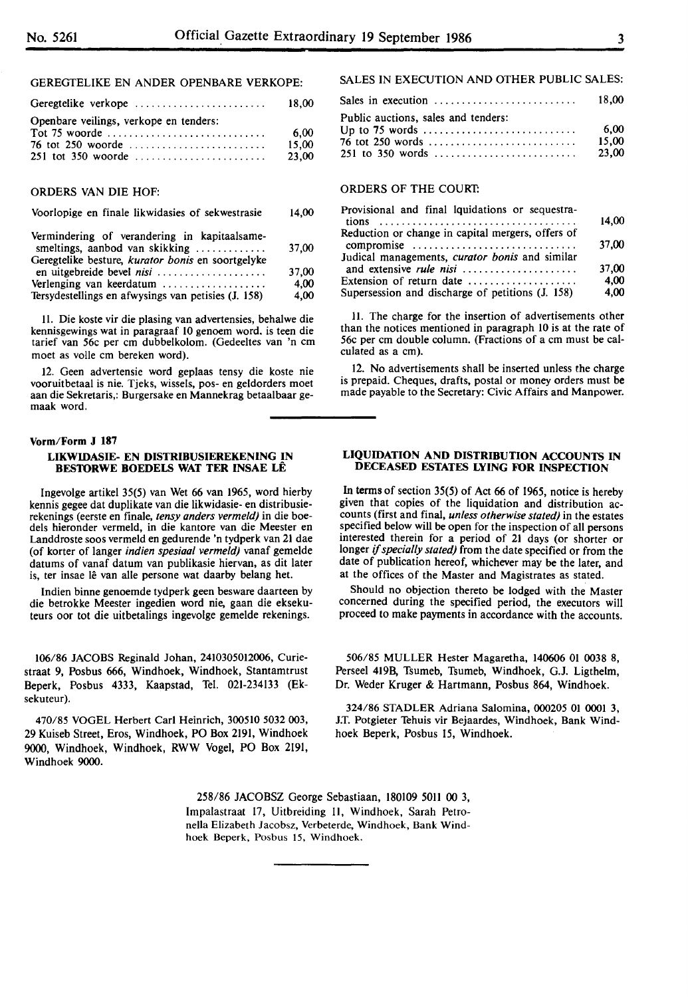GEREGTELIKE EN ANDER OPENBARE VERKOPE:

| Geregtelike verkope                       | 18.00          |
|-------------------------------------------|----------------|
| Openbare veilings, verkope en tenders:    | 6.00           |
| 76 tot 250 woorde<br>$251$ tot 350 woorde | 15.00<br>23,00 |

#### ORDERS VAN DIE HOF:

#### Voorlopige en finale likwidasies of sekwestrasie 14,00

| Vermindering of verandering in kapitaalsame-<br>smeltings, aanbod van skikking | 37.00 |
|--------------------------------------------------------------------------------|-------|
| Geregtelike besture, kurator bonis en soortgelyke                              |       |
| en uitgebreide bevel nisi                                                      | 37.00 |
| Verlenging van keerdatum                                                       | 4.00  |
| Tersydestellings en afwysings van petisies (J. 158)                            | 4,00  |

11. Die koste vir die plasing van advertensies, behalwe die kennisgewings wat in paragraaf 10 genoem word. is teen die tarief van 56c per cm dubbelkolom. (Gedeeltes van 'n cm moet as volle cm bereken word).

12. Geen advertensie word geplaas tensy die koste nie vooruitbetaal is nie. Tjeks, wissels, pos- en geldorders moet aan die Sekretaris,: Burgersake en Mannekrag betaalbaar gemaak word.

#### **Vorm/Form J 187**

#### **LIKWIDASIE- EN DISTRIBUSIEREKENING IN BESTORWE BOEDELS WAT TER INSAE LE**

lngevolge artikel 35(5) van Wet 66 van 1965, word hierby kennis gegee dat duplikate van die likwidasie- en distribusierekenings (eerste en finale, *tensy anders vermeld)* in die boedels hieronder vermeld, in die kantore van die Meester en Landdroste soos vermeld en gedurende 'n tydperk van 21 dae (of korter of !anger *indien spesiaal vermeld)* vanaf gemelde datums of vanaf datum van publikasie hiervan, as dit later is, ter insae lê van alle persone wat daarby belang het.

lndien binne genoemde tydperk geen besware daarteen by die betrokke Meester ingedien word nie, gaan die eksekuteurs oor tot die uitbetalings ingevolge gemelde rekenings.

106/86 JACOBS Reginald Johan, 2410305012006, Curiestraat 9, Posbus 666, Windhoek, Windhoek, Stantamtrust Beperk, Posbus 4333, Kaapstad, Tel. 021-234133 (Eksekuteur).

470/85 VOGEL Herbert Carl Heinrich, 300510 5032 003, 29 Kuiseb Street, Eros, Windhoek, PO Box 2191, Windhoek 9000, Windhoek, Windhoek, RWW Vogel, PO Box 2191, Windhoek 9000.

#### SALES IN EXECUTION AND OTHER PUBLIC SALES:

| Sales in execution $\ldots \ldots \ldots \ldots \ldots \ldots \ldots$                                                       | 18.00                  |
|-----------------------------------------------------------------------------------------------------------------------------|------------------------|
| Public auctions, sales and tenders:<br>Up to 75 words $\dots \dots \dots \dots \dots \dots \dots \dots$<br>76 tot 250 words | 6.00<br>15.00<br>23.00 |

#### ORDERS OF THE COURT:

| Provisional and final lquidations or sequestra-   |       |
|---------------------------------------------------|-------|
|                                                   | 14,00 |
| Reduction or change in capital mergers, offers of |       |
| compromise                                        | 37,00 |
| Judical managements, curator bonis and similar    |       |
|                                                   | 37,00 |
| Extension of return date                          | 4.00  |
| Supersession and discharge of petitions (J. 158)  | 4,00  |

11. The charge for the insertion of advertisements other than the notices mentioned in paragraph 10 is at the rate of 56c per cm double column. (Fractions of a cm must be calculated as a cm).

12. No advertisements shall be inserted unless the charge is prepaid. Cheques, drafts, postal or money orders must be made payable to the Secretary: Civic Affairs and Manpower.

#### **LIQUIDATION AND DISTRIBUTION ACCOUNTS IN DECEASED ESTATES LYING FOR INSPECTION**

In terms of section 35(5) of Act 66 of 1965, notice is hereby given that copies of the liquidation and distribution accounts (first and final, *unless otherwise stated)* in the estates specified below will be open for the inspection of all persons interested therein for a period of 21 days (or shorter or longer if *specially stated)* from the date specified or from the date of publication hereof, whichever may be the later, and at the offices of the Master and Magistrates as stated.

Should no objection thereto be lodged with the Master concerned during the specified period, the executors will proceed to make payments in accordance with the accounts.

506/85 MULLER Hester Magaretha, 140606 01 0038 8, Perseel 419B, Tsumeb, Tsumeb, Windhoek, G.J. Ligthelm, Dr. Weder Kruger & Hartmann, Posbus 864, Windhoek.

324/86 STADLER Adriana Salomina, 000205 01 0001 3, J.T. Potgieter Tehuis vir Bejaardes, Windhoek, Bank Windhoek Beperk, Posbus 15, Windhoek.

258/86 JACOBSZ George Sebastiaan, 180109 5011 00 3, lmpalastraat 17, Uitbreiding II, Windhoek, Sarah Petronella Elizabeth Jacobsz, Verbeterde, Windhoek, Bank Windhoek Beperk, Posbus 15, Windhoek.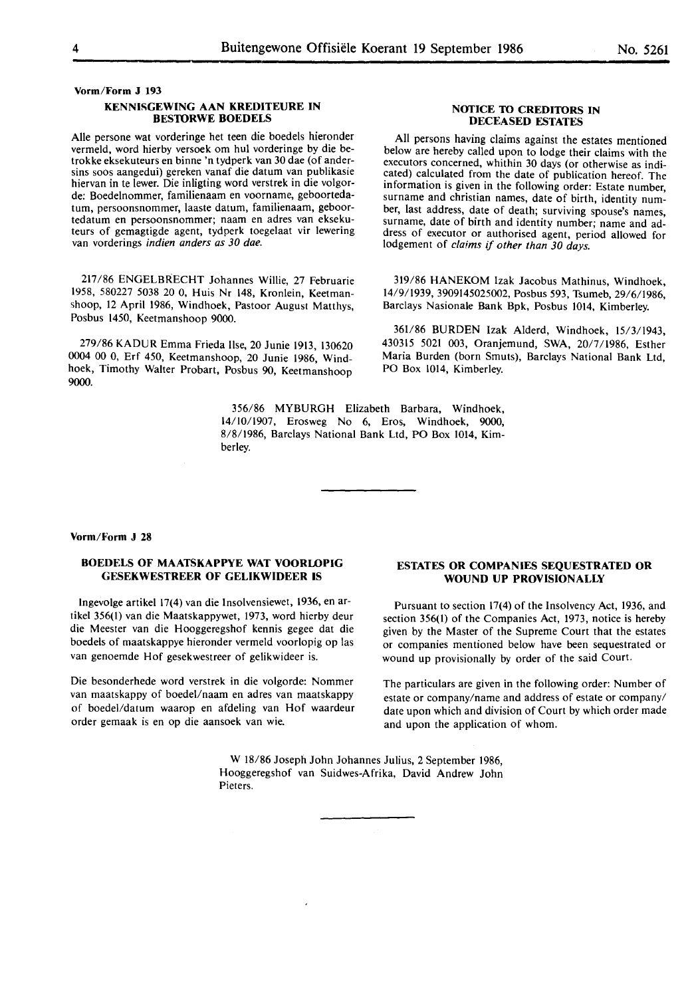**Vorm/Form J 193** 

#### **KENNISGEWING AAN KREDITEURE IN BESTORWE BOEDELS**

Alie persone wat vorderinge het teen die boedels hieronder vermeld, word hierby versoek om hul vorderinge by die betrokke eksekuteurs en binne 'n tydperk van 30 dae (of andersins soos aangedui) gereken vanaf die datum van publikasie hiervan in te lewer. Die inligting word verstrek in die volgorde: Boedelnommer, familienaam en voorname, geboortedatum, persoonsnommer, laaste datum, familienaam, geboortedatum en persoonsnommer; naam en adres van eksekuteurs of gemagtigde agent, tydperk toegelaat vir lewering van vorderings *indien anders as 30 dae.* 

217/86 ENGELBRECHT Johannes Willie, 27 Februarie 1958, 580227 5038 20 0, Huis Nr 148, Kronlein, Keetmanshoop, 12 April 1986, Windhoek, Pastoor August Matthys, Posbus 1450, Keetmanshoop 9000.

279/86 KADUR Emma Frieda Ilse, 20 Junie 1913, 130620 0004 00 0, Erf 450, Keetmanshoop, 20 Junie 1986, Windhoek, Timothy Walter Probart, Posbus 90, Keetmanshoop 9000.

> 356/86 MYBURGH Elizabeth Barbara, Windhoek, 14/10/1907, Erosweg No 6, Eros, Windhoek, 9000, 8/8/1986, Barclays National Bank Ltd, PO Box 1014, Kimberley.

#### **NOTICE TO CREDITORS IN DECEASED ESTATES**

All persons having claims against the estates mentioned below are hereby called upon to lodge their claims with the executors concerned, whithin 30 days (or otherwise as indicated) calculated from the date of publication hereof. The information is given in the following order: Estate number, surname and christian names, date of birth, identity number, last address, date of death; surviving spouse's names, surname, date of birth and identity number; name and address of executor or authorised agent, period allowed for lodgement of *claims* if *other than 30 days.* 

319/86 HANEKOM Izak Jacobus Mathinus, Windhoek, 14/9/1939, 3909145025002, Posbus 593, Tsumeb, 29/6/1986, Barclays Nasionale Bank Bpk, Posbus 1014, Kimberley.

361/86 BURDEN Izak Alderd, Windhoek, 15/3/1943, 430315 5021 003, Oranjemund, SWA, 20/7/1986, Esther Maria Burden (born Smuts), Barclays National Bank Ltd, PO Box 1014, Kimberley.

#### **Vorm/Form J 28**

#### **BOEDELS OF MAATSKAPPYE WAT VOORLOPIG GESEKWESTREER OF GELIKWIDEER IS**

lngevolge artikel 17(4) van die lnsolvensiewet, 1936, en artikel 356(1) van die Maatskappywet, 1973, word hierby deur die Meester van die Hooggeregshof kennis gegee dat die boedels of maatskappye hieronder vermeld voorlopig op las van genoemde Hof gesekwestreer of gelikwideer is.

Die besonderhede word verstrek in die volgorde: Nommer van maatskappy of boedel/naam en adres van maatskappy of boedel/datum waarop en afdeling van Hof waardeur order gemaak is en op die aansoek van wie.

#### **ESTATES OR COMPANIES SEQUESTRATED OR WOUND UP PROVISIONALLY**

Pursuant to section 17(4) of the Insolvency Act, 1936, and section 356(1) of the Companies Act, 1973, notice is hereby given by the Master of the Supreme Court that the estates or companies mentioned below have been sequestrated or wound up provisionally by order of the said Court.

The particulars are given in the following order: Number of estate or company/name and address of estate or company/ date upon which and division of Court by which order made and upon the application of whom.

W 18/86 Joseph John Johannes Julius, 2 September 1986, Hooggeregshof van Suidwes-Afrika, David Andrew John Pieters.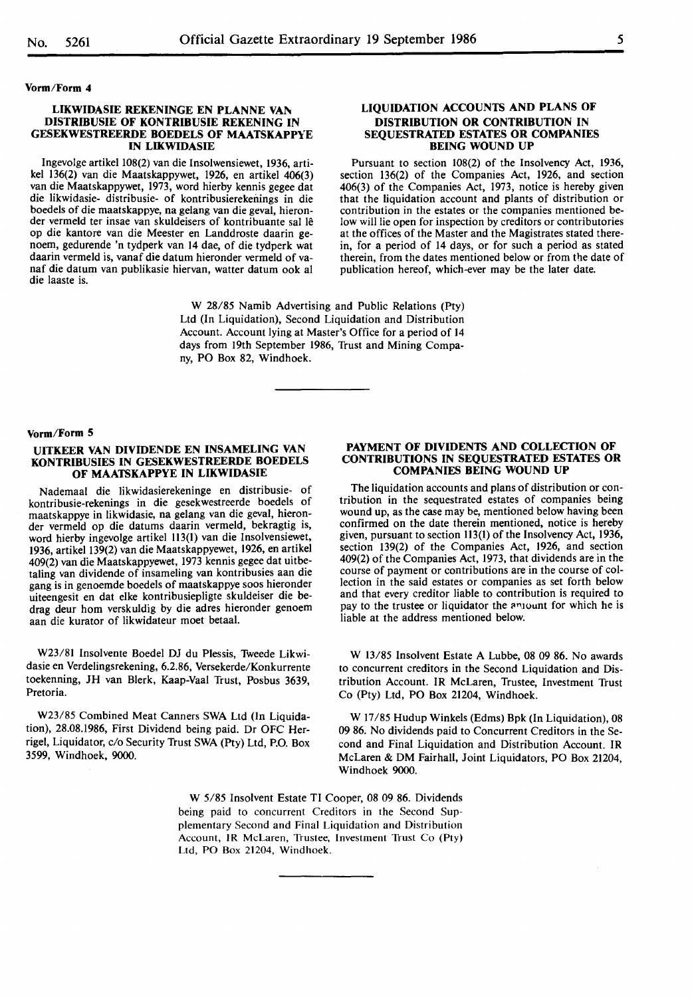#### **Vorm/Form 4**

#### **LIKWIDASIE REKENINGE EN PLANNE VAN DISTRIBUSIE OF KONTRIBUSIE REKENING IN GESEKWESTREERDE BOEDELS OF MAATSKAPPYE IN LIKWIDASIE**

lngevolge artikel 108(2) van die Insolwensiewet, 1936, artikel 136(2) van die Maatskappywet, 1926, en artikel 406(3) van die Maatskappywet, 1973, word hierby kennis gegee dat die likwidasie- distribusie- of kontribusierekenings in die boedels of die maatskappye, na gelang van die geval, hieronder vermeld ter insae van skuldeisers of kontribuante sal le op die kantore van die Meester en Landdroste daarin genoem, gedurende 'n tydperk van 14 dae, of die tydperk wat daarin vermeld is, vanaf die datum hieronder vermeld of vanaf die datum van publikasie hiervan, watter datum ook al die laaste is.

#### **LIQUIDATION ACCOUNTS AND PLANS OF DISTRIBUTION OR CONTRIBUTION IN SEQUESTRATED ESTATES OR COMPANIES BEING WOUND UP**

Pursuant to section 108(2) of the Insolvency Act, 1936, section 136(2) of the Companies Act, 1926, and section 406(3) of the Companies Act, 1973, notice is hereby given that the liquidation account and plants of distribution or contribution in the estates or the companies mentioned below will lie open for inspection by creditors or contributories at the offices of the Master and the Magistrates stated therein, for a period of 14 days, or for such a period as stated therein, from the dates mentioned below or from the date of publication hereof, which-ever may be the later date.

W 28/85 Namib Advertising and Public Relations (Pty) Ltd (In Liquidation), Second Liquidation and Distribution Account. Account lying at Master's Office for a period of 14 days from 19th September 1986, Trust and Mining Company, PO Box 82, Windhoek.

#### **Vorm/Form 5**

#### **UITKEER VAN DIVIDENDE EN INSAMELING VAN KONTRIBUSIES IN GESEKWESTREERDE BOEDELS OF MAATSKAPPYE IN LIKWIDASIE**

Nademaal die likwidasierekeninge en distribusie- of kontribusie-rekenings in die gesekwestreerde boedels of maatskappye in likwidasie, na gelang van die geval, hieronder vermeld op die datums daarin vermeld, bekragtig is, word hierby ingevolge artikel 113(1) van die Insolvensiewet, 1936, artikel 139(2) van die Maatskappyewet, 1926, en artikel 409(2) van die Maatskappyewet, 1973 kennis gegee dat uitbetaling van dividende of insameling van kontribusies aan die gang is in genoemde boedels of maatskappye soos hieronder uiteengesit en dat elke kontribusiepligte skuldeiser die bedrag deur hom verskuldig by die adres hieronder genoem aan die kurator of likwidateur moet betaal.

W23/81 Insolvente Boedel DJ du Plessis, Tweede Likwidasie en Verdelingsrekening, 6.2.86, Versekerde/Konkurrente toekenning, JH van Blerk, Kaap-Vaal Trust, Posbus 3639, Pretoria.

W23/85 Combined Meat Canners SWA Ltd (In Liquidation), 28.08.1986, First Dividend being paid. Dr OFC Herrigel, Liquidator, c/o Security Trust SWA (Pty) Ltd, P.O. Box 3599, Windhoek, 9000.

#### **PAYMENT OF DIVIDENTS AND COLLECTION OF CONTRIBUTIONS IN SEQUESTRATED ESTATES OR COMPANIES BEING WOUND UP**

The liquidation accounts and plans of distribution or contribution in the sequestrated estates of companies being wound up, as the case may be, mentioned below having been confirmed on the date therein mentioned, notice is hereby given, pursuant to section 113(1) of the Insolvency Act, 1936, section 139(2) of the Companies Act, 1926, and section 409(2) of the Companies Act, 1973, that dividends are in the course of payment or contributions are in the course of collection in the said estates or companies as set forth below and that every creditor liable to contribution is required to pay to the trustee or liquidator the anjount for which he is liable at the address mentioned below.

W 13/85 Insolvent Estate A Lubbe, 08 09 86. No awards to concurrent creditors in the Second Liquidation and Distribution Account. IR McLaren, Trustee, Investment Trust Co (Pty) Ltd, PO Box 21204, Windhoek.

**W** 17/85 Hudup Winkels (Edms) Bpk (In Liquidation), 08 09 86. No dividends paid to Concurrent Creditors in the Second and Final Liquidation and Distribution Account. IR McLaren & DM Fairhall, Joint Liquidators, PO Box 21204, Windhoek 9000.

W 5/85 Insolvent Estate TI Cooper, 08 09 86. Dividends being paid to concurrent Creditors in the Second Supplementary Second and Final Liquidation and Distribution Account, IR McLaren, Trustee, Investment Trust Co (Pty) Ltd, PO Box 21204, Windhoek.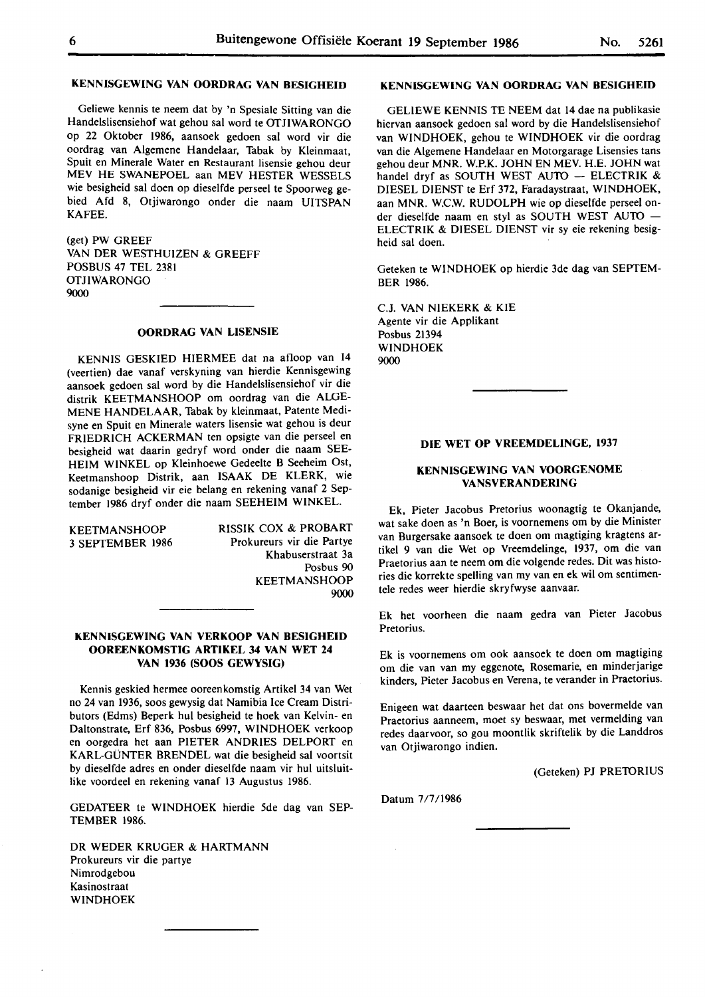#### **KENNISGEWING VAN OORDRAG VAN BESIGHEID**

Geliewe kennis te neem dat by 'n Spesiale Sitting van die Handelslisensiehof wat gehou sat word te OTJIWARONGO op 22 Oktober 1986, aansoek gedoen sal word vir die oordrag van Algemene Handelaar, Tabak by Kleinmaat, Spuit en Minerale Water en Restaurant lisensie gehou deur MEV HE SWANEPOEL aan MEV HESTER WESSELS wie besigheid sal doen op dieselfde perseel te Spoorweg gebied Afd 8, Otjiwarongo onder die naam UITSPAN KAFEE.

(get) PW GREEF VAN DER WESTHUIZEN & GREEFF POSBUS 47 TEL 2381 OTJIWARONGO 9000

#### **OORDRAG VAN LISENSIE**

KENNIS GESKIED HIERMEE dat na afloop van 14 (veertien) dae vanaf verskyning van hierdie Kennisgewing aansoek gedoen sal word by die Handelslisensiehof vir die distrik KEETMANSHOOP om oordrag van die ALGE-MENE HANDELAAR, Tabak by kleinmaat, Patente Medisyne en Spuit en Minerale waters lisensie wat gehou is deur FRIEDRICH ACKERMAN ten opsigte van die perseel en besigheid wat daarin gedryf word onder die naam SEE-HEIM WINKEL op Kleinhoewe Gedeelte B Seeheim Ost, Keetmanshoop Distrik, aan ISAAK DE KLERK, wie sodanige besigheid vir eie belang en rekening vanaf 2 September 1986 dryf onder die naam SEEHEIM WINKEL.

**KEETMANSHOOP** 3 SEPTEMBER 1986 RISSIK COX & PROBART Prokureurs vir die Partye Khabuserstraat 3a Posbus 90 KEETMANSHOOP 9000

#### **KENNISGEWING VAN VERKOOP VAN BESIGHEID OOREENKOMSTIG ARTIKEL 34 VAN WET 24 VAN 1936 (SOOS GEWYSIG)**

Kennis geskied hermee ooreenkomstig Artikel 34 van Wet no 24 van 1936, soos gewysig dat Namibia Ice Cream Distributors (Edms) Beperk hul besigheid te hoek van Kelvin- en Daltonstrate, Erf 836, Posbus 6997, WINDHOEK verkoop en oorgedra het aan PIETER ANDRIES DELPORT en KARL-GUNTER BRENDEL wat die besigheid sal voortsit by dieselfde adres en onder dieselfde naam vir hul uitsluitlike voordeel en rekening vanaf 13 Augustus 1986.

GEDATEER te WINDHOEK hierdie 5de dag van SEP-TEMBER 1986.

DR WEDER KRUGER & HARTMANN Prokureurs vir die partye Nimrodgebou Kasinostraat WINDHOEK

## **KENNISGEWING VAN OORDRAG VAN BESIGHEID**

GELIEWE KENNIS TE NEEM dat 14 dae na publikasie hiervan aansoek gedoen sal word by die Handelslisensiehof van WINDHOEK, gehou te WINDHOEK vir die oordrag van die Algemene Handelaar en Motorgarage Lisensies tans gehou deur MNR. W.P.K. JOHN EN MEV. H.E. JOHN wat handel dryf as SOUTH WEST AUTO - ELECTRIK  $\&$ DIESEL DIENST te Erf 372, Faradaystraat, WINDHOEK, aan MNR. W.C.W. RUDOLPH wie op dieselfde perseel onder dieselfde naam en styl as SOUTH WEST AUTO -ELECTRIK & DIESEL DIENST vir sy eie rekening besigheid sal doen.

Geteken te WINDHOEK op hierdie 3de dag van SEPTEM-BER 1986.

C.J. VAN NIEKERK & KIE Agente vir die Applikant Posbus 21394 WINDHOEK 9000

#### **DIE WET OP VREEMDELINGE, 1937**

#### **KENNISGEWING VAN VOORGENOME VANSVERANDERING**

Ek, Pieter Jacobus Pretorius woonagtig te Okanjande, wat sake doen as 'n Boer, is voornemens om by die Minister van Burgersake aansoek te doen om magtiging kragtens artikel 9 van die Wet op Vreemdelinge, 1937, om die van Praetorius aan te neem om die volgende redes. Dit was histories die korrekte spelling van my van en **ek wil** om sentimentele redes weer hierdie skryfwyse aanvaar.

Ek het voorheen die naam gedra van Pieter Jacobus Pretorius.

Ek is voornemens om ook aansoek te doen om magtiging om die van van my eggenote, Rosemarie, en minderjarige kinders, Pieter Jacobus en Verena, te verander in Praetorius.

Enigeen wat daarteen beswaar het dat ons bovermelde van Praetorius aanneem, moet sy beswaar, met vermelding van redes daarvoor, so gou moontlik skriftelik by die Landdros van Otjiwarongo indien.

(Geteken) PJ PRETORIUS

Datum 7/7/1986